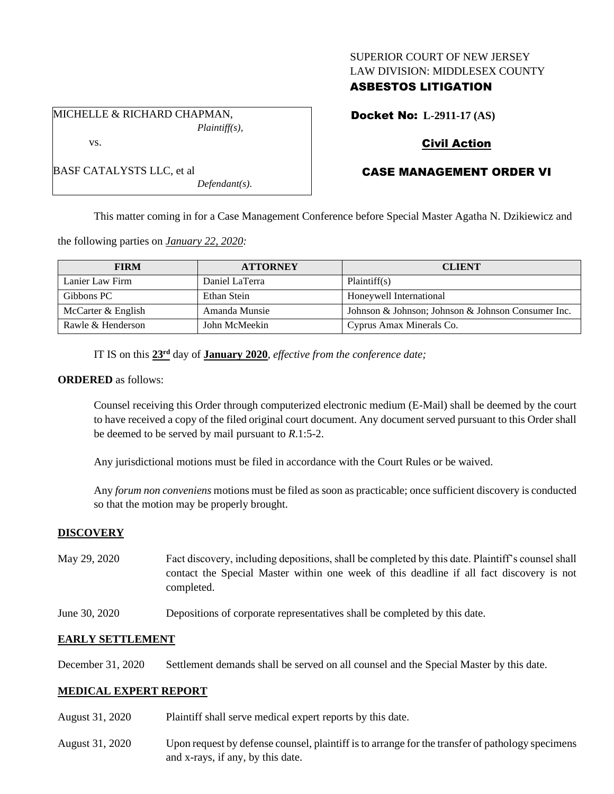### SUPERIOR COURT OF NEW JERSEY LAW DIVISION: MIDDLESEX COUNTY

## ASBESTOS LITIGATION

Docket No: **L-2911-17 (AS)**

## Civil Action

# CASE MANAGEMENT ORDER VI

This matter coming in for a Case Management Conference before Special Master Agatha N. Dzikiewicz and

the following parties on *January 22, 2020:*

| <b>FIRM</b>        | <b>ATTORNEY</b> | <b>CLIENT</b>                                      |
|--------------------|-----------------|----------------------------------------------------|
| Lanier Law Firm    | Daniel LaTerra  | Plaintiff(s)                                       |
| Gibbons PC         | Ethan Stein     | Honeywell International                            |
| McCarter & English | Amanda Munsie   | Johnson & Johnson; Johnson & Johnson Consumer Inc. |
| Rawle & Henderson  | John McMeekin   | Cyprus Amax Minerals Co.                           |

IT IS on this **23rd** day of **January 2020**, *effective from the conference date;*

#### **ORDERED** as follows:

Counsel receiving this Order through computerized electronic medium (E-Mail) shall be deemed by the court to have received a copy of the filed original court document. Any document served pursuant to this Order shall be deemed to be served by mail pursuant to *R*.1:5-2.

Any jurisdictional motions must be filed in accordance with the Court Rules or be waived.

Any *forum non conveniens* motions must be filed as soon as practicable; once sufficient discovery is conducted so that the motion may be properly brought.

### **DISCOVERY**

- May 29, 2020 Fact discovery, including depositions, shall be completed by this date. Plaintiff's counsel shall contact the Special Master within one week of this deadline if all fact discovery is not completed.
- June 30, 2020 Depositions of corporate representatives shall be completed by this date.

### **EARLY SETTLEMENT**

December 31, 2020 Settlement demands shall be served on all counsel and the Special Master by this date.

### **MEDICAL EXPERT REPORT**

- August 31, 2020 Plaintiff shall serve medical expert reports by this date.
- August 31, 2020 Upon request by defense counsel, plaintiff is to arrange for the transfer of pathology specimens and x-rays, if any, by this date.

MICHELLE & RICHARD CHAPMAN, *Plaintiff(s),* vs.

|  | BASF CATALYSTS LLC, et al |  |
|--|---------------------------|--|

*Defendant(s).*